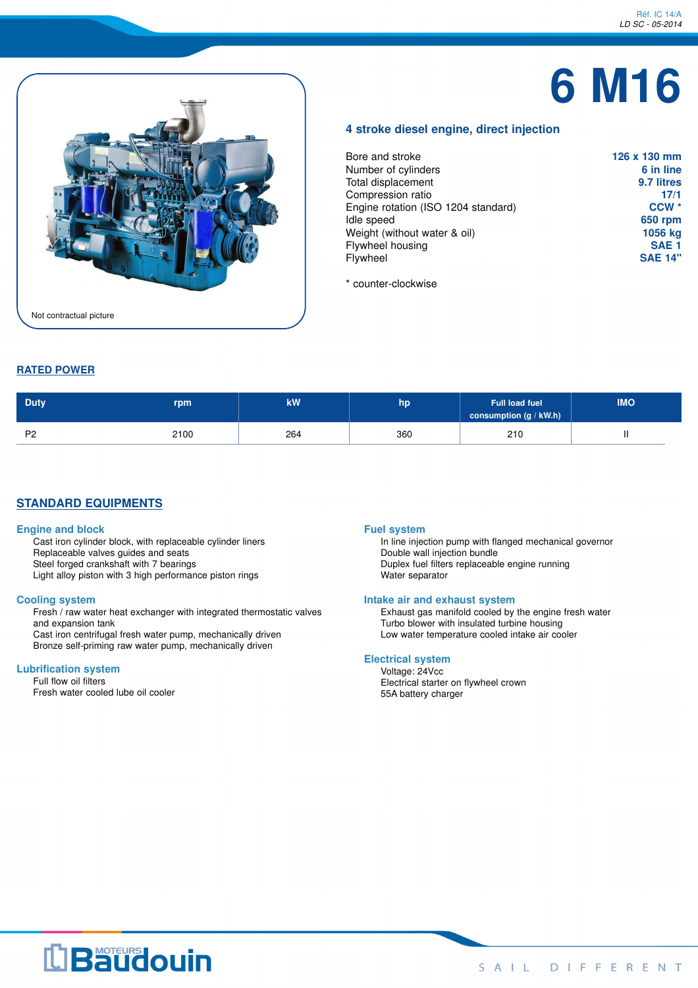# **6 M16**



### **4 stroke diesel engine, direct injection**

| Bore and stroke                     | 126 x 130 mm     |
|-------------------------------------|------------------|
| Number of cylinders                 | 6 in line        |
| Total displacement                  | 9.7 litres       |
| Compression ratio                   | 17/1             |
| Engine rotation (ISO 1204 standard) | $CCW^*$          |
| Idle speed                          | <b>650 rpm</b>   |
| Weight (without water & oil)        | 1056 kg          |
| Flywheel housing                    | SAE <sub>1</sub> |
| Flywheel                            | <b>SAE 14"</b>   |

\* counter-clockwise

# **RATED POWER**

| <b>Duty</b>    | rpm  | <b>kW</b> | hp  | <b>Full load fuel</b><br>consumption $(g / kW.h)$ | <b>IMO</b> |
|----------------|------|-----------|-----|---------------------------------------------------|------------|
| D0<br><u>_</u> | 2100 | 264       | 360 | 210                                               |            |

# **STANDARD EQUIPMENTS**

#### **Engine and block**

Cast iron cylinder block, with replaceable cylinder liners Replaceable valves guides and seats Steel forged crankshaft with 7 bearings Light alloy piston with 3 high performance piston rings

#### **Cooling system**

Fresh / raw water heat exchanger with integrated thermostatic valves and expansion tank Cast iron centrifugal fresh water pump, mechanically driven

Bronze self-priming raw water pump, mechanically driven

#### **Lubrification system**

Full flow oil filters Fresh water cooled lube oil cooler

#### **Fuel system**

In line injection pump with flanged mechanical governor Double wall injection bundle Duplex fuel filters replaceable engine running Water separator

#### **Intake air and exhaust system**

Exhaust gas manifold cooled by the engine fresh water Turbo blower with insulated turbine housing Low water temperature cooled intake air cooler

# **Electrical system**

Voltage: 24Vcc Electrical starter on flywheel crown 55A battery charger